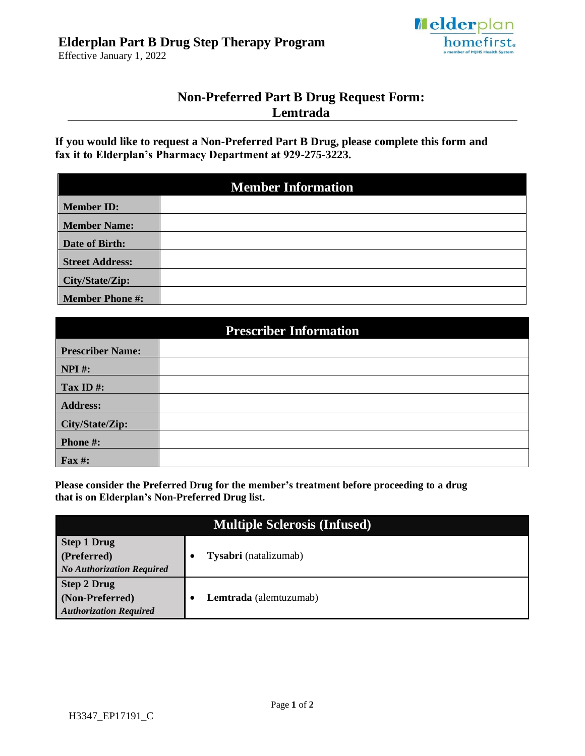

Effective January 1, 2022

## **Non-Preferred Part B Drug Request Form: Lemtrada**

**If you would like to request a Non-Preferred Part B Drug, please complete this form and fax it to Elderplan's Pharmacy Department at 929-275-3223.**

| <b>Member Information</b> |  |  |  |  |
|---------------------------|--|--|--|--|
| <b>Member ID:</b>         |  |  |  |  |
| <b>Member Name:</b>       |  |  |  |  |
| Date of Birth:            |  |  |  |  |
| <b>Street Address:</b>    |  |  |  |  |
| City/State/Zip:           |  |  |  |  |
| <b>Member Phone #:</b>    |  |  |  |  |

| <b>Prescriber Information</b> |  |  |  |
|-------------------------------|--|--|--|
| <b>Prescriber Name:</b>       |  |  |  |
| $NPI$ #:                      |  |  |  |
| Tax ID#:                      |  |  |  |
| <b>Address:</b>               |  |  |  |
| City/State/Zip:               |  |  |  |
| Phone #:                      |  |  |  |
| <b>Fax#:</b>                  |  |  |  |

**Please consider the Preferred Drug for the member's treatment before proceeding to a drug that is on Elderplan's Non-Preferred Drug list.**

| <b>Multiple Sclerosis (Infused)</b>                                    |  |                        |  |
|------------------------------------------------------------------------|--|------------------------|--|
| <b>Step 1 Drug</b><br>(Preferred)<br><b>No Authorization Required</b>  |  | Tysabri (natalizumab)  |  |
| <b>Step 2 Drug</b><br>(Non-Preferred)<br><b>Authorization Required</b> |  | Lemtrada (alemtuzumab) |  |